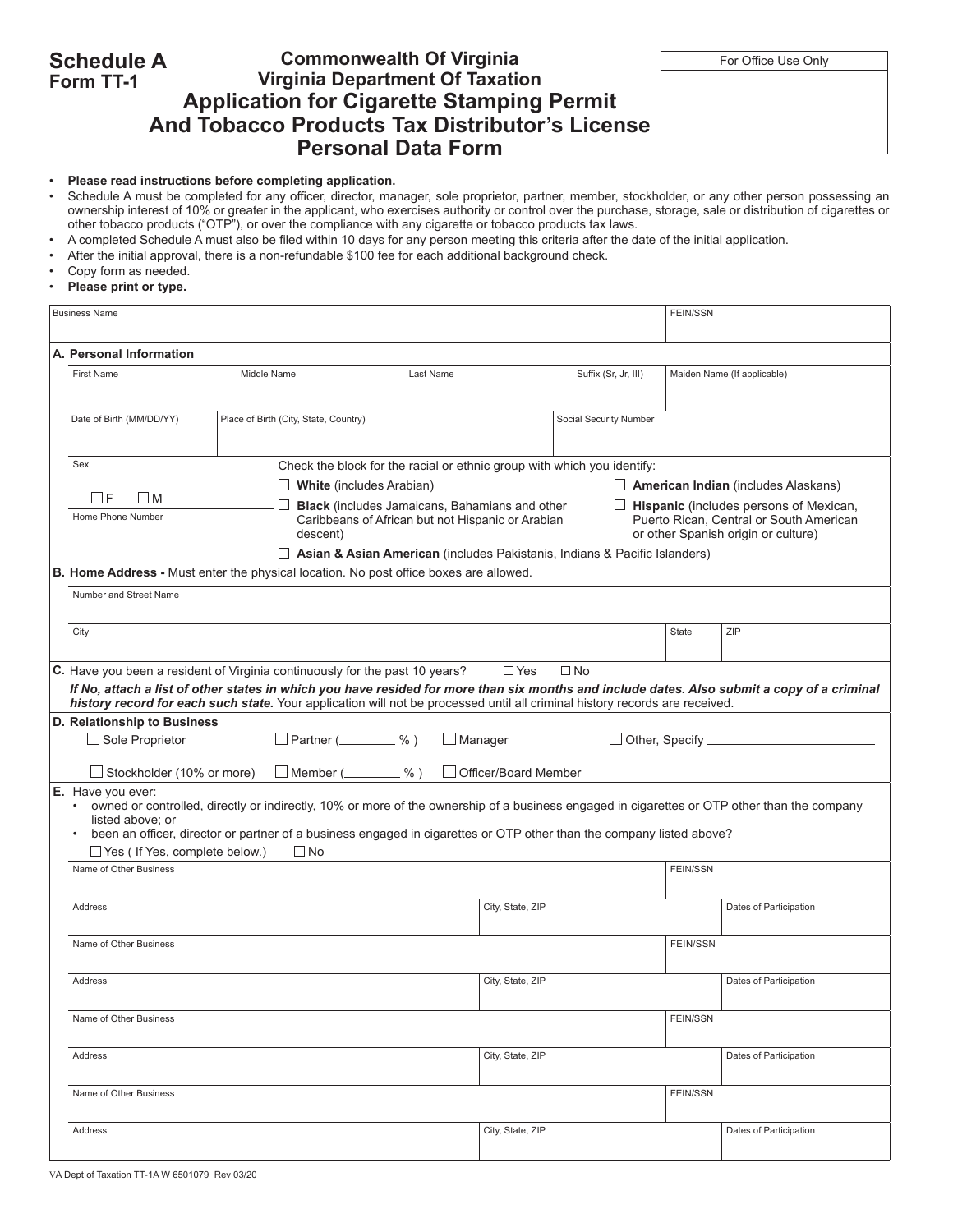#### **Schedule A Form TT-1 Commonwealth Of Virginia** For Office Use Only **Virginia Department Of Taxation Application for Cigarette Stamping Permit And Tobacco Products Tax Distributor's License Personal Data Form**

#### • **Please read instructions before completing application.**

- • Schedule A must be completed for any officer, director, manager, sole proprietor, partner, member, stockholder, or any other person possessing an ownership interest of 10% or greater in the applicant, who exercises authority or control over the purchase, storage, sale or distribution of cigarettes or other tobacco products ("OTP"), or over the compliance with any cigarette or tobacco products tax laws.
- A completed Schedule A must also be filed within 10 days for any person meeting this criteria after the date of the initial application.
- After the initial approval, there is a non-refundable \$100 fee for each additional background check.
- • Copy form as needed.
- **Please print or type.**

|                          | <b>Business Name</b>                                                                                                                                                                                                                                                                                                                                                                 | <b>FEIN/SSN</b>                                                                                                                                                                                                                                                                                                                                |                                                                                                                             |                                            |                        |                                                                                                                                 |                        |  |  |  |  |  |
|--------------------------|--------------------------------------------------------------------------------------------------------------------------------------------------------------------------------------------------------------------------------------------------------------------------------------------------------------------------------------------------------------------------------------|------------------------------------------------------------------------------------------------------------------------------------------------------------------------------------------------------------------------------------------------------------------------------------------------------------------------------------------------|-----------------------------------------------------------------------------------------------------------------------------|--------------------------------------------|------------------------|---------------------------------------------------------------------------------------------------------------------------------|------------------------|--|--|--|--|--|
| A. Personal Information  |                                                                                                                                                                                                                                                                                                                                                                                      |                                                                                                                                                                                                                                                                                                                                                |                                                                                                                             |                                            |                        |                                                                                                                                 |                        |  |  |  |  |  |
|                          | <b>First Name</b>                                                                                                                                                                                                                                                                                                                                                                    | Suffix (Sr, Jr, III)<br>Maiden Name (If applicable)                                                                                                                                                                                                                                                                                            |                                                                                                                             |                                            |                        |                                                                                                                                 |                        |  |  |  |  |  |
| Date of Birth (MM/DD/YY) |                                                                                                                                                                                                                                                                                                                                                                                      |                                                                                                                                                                                                                                                                                                                                                | Place of Birth (City, State, Country)<br>Social Security Number                                                             |                                            |                        |                                                                                                                                 |                        |  |  |  |  |  |
|                          | Sex<br>Check the block for the racial or ethnic group with which you identify:                                                                                                                                                                                                                                                                                                       |                                                                                                                                                                                                                                                                                                                                                |                                                                                                                             |                                            |                        |                                                                                                                                 |                        |  |  |  |  |  |
|                          |                                                                                                                                                                                                                                                                                                                                                                                      |                                                                                                                                                                                                                                                                                                                                                | $\Box$ White (includes Arabian)                                                                                             | $\Box$ American Indian (includes Alaskans) |                        |                                                                                                                                 |                        |  |  |  |  |  |
|                          | l IF<br>l IM<br>Home Phone Number                                                                                                                                                                                                                                                                                                                                                    |                                                                                                                                                                                                                                                                                                                                                | ⊔<br><b>Black</b> (includes Jamaicans, Bahamians and other<br>Caribbeans of African but not Hispanic or Arabian<br>descent) |                                            |                        | $\Box$ Hispanic (includes persons of Mexican,<br>Puerto Rican. Central or South American<br>or other Spanish origin or culture) |                        |  |  |  |  |  |
|                          |                                                                                                                                                                                                                                                                                                                                                                                      |                                                                                                                                                                                                                                                                                                                                                | $\Box$ Asian & Asian American (includes Pakistanis, Indians & Pacific Islanders)                                            |                                            |                        |                                                                                                                                 |                        |  |  |  |  |  |
|                          |                                                                                                                                                                                                                                                                                                                                                                                      |                                                                                                                                                                                                                                                                                                                                                | B. Home Address - Must enter the physical location. No post office boxes are allowed.                                       |                                            |                        |                                                                                                                                 |                        |  |  |  |  |  |
|                          | Number and Street Name                                                                                                                                                                                                                                                                                                                                                               |                                                                                                                                                                                                                                                                                                                                                |                                                                                                                             |                                            |                        |                                                                                                                                 |                        |  |  |  |  |  |
|                          | City                                                                                                                                                                                                                                                                                                                                                                                 |                                                                                                                                                                                                                                                                                                                                                |                                                                                                                             |                                            |                        | State                                                                                                                           | ZIP                    |  |  |  |  |  |
|                          | C. Have you been a resident of Virginia continuously for the past 10 years?<br>$\Box$ Yes<br>$\Box$ No<br>If No, attach a list of other states in which you have resided for more than six months and include dates. Also submit a copy of a criminal<br>history record for each such state. Your application will not be processed until all criminal history records are received. |                                                                                                                                                                                                                                                                                                                                                |                                                                                                                             |                                            |                        |                                                                                                                                 |                        |  |  |  |  |  |
|                          | D. Relationship to Business<br>$\Box$ Partner ( $\_\_\_\_\_\$ %)<br>$\Box$ Manager<br>Other, Specify ____________<br>$\Box$ Sole Proprietor<br>$\Box$ Stockholder (10% or more)<br>$\Box$ Member ( $\_\_\_\_\_\$ %)<br>Officer/Board Member                                                                                                                                          |                                                                                                                                                                                                                                                                                                                                                |                                                                                                                             |                                            |                        |                                                                                                                                 |                        |  |  |  |  |  |
|                          | $\bullet$<br>listed above: or<br>$\bullet$                                                                                                                                                                                                                                                                                                                                           | E. Have you ever:<br>owned or controlled, directly or indirectly, 10% or more of the ownership of a business engaged in cigarettes or OTP other than the company<br>been an officer, director or partner of a business engaged in cigarettes or OTP other than the company listed above?<br>$\Box$ Yes ( If Yes, complete below.)<br>$\Box$ No |                                                                                                                             |                                            |                        |                                                                                                                                 |                        |  |  |  |  |  |
|                          | Name of Other Business                                                                                                                                                                                                                                                                                                                                                               |                                                                                                                                                                                                                                                                                                                                                |                                                                                                                             |                                            |                        |                                                                                                                                 | <b>FEIN/SSN</b>        |  |  |  |  |  |
|                          | Address                                                                                                                                                                                                                                                                                                                                                                              |                                                                                                                                                                                                                                                                                                                                                |                                                                                                                             |                                            |                        | Dates of Participation                                                                                                          |                        |  |  |  |  |  |
|                          | Name of Other Business                                                                                                                                                                                                                                                                                                                                                               |                                                                                                                                                                                                                                                                                                                                                |                                                                                                                             |                                            |                        | <b>FEIN/SSN</b>                                                                                                                 |                        |  |  |  |  |  |
|                          | Address                                                                                                                                                                                                                                                                                                                                                                              |                                                                                                                                                                                                                                                                                                                                                |                                                                                                                             | City, State, ZIP                           |                        |                                                                                                                                 | Dates of Participation |  |  |  |  |  |
|                          | Name of Other Business                                                                                                                                                                                                                                                                                                                                                               |                                                                                                                                                                                                                                                                                                                                                |                                                                                                                             |                                            |                        | <b>FEIN/SSN</b>                                                                                                                 |                        |  |  |  |  |  |
|                          | Address                                                                                                                                                                                                                                                                                                                                                                              | City, State, ZIP                                                                                                                                                                                                                                                                                                                               |                                                                                                                             |                                            | Dates of Participation |                                                                                                                                 |                        |  |  |  |  |  |
| Name of Other Business   |                                                                                                                                                                                                                                                                                                                                                                                      |                                                                                                                                                                                                                                                                                                                                                |                                                                                                                             | <b>FEIN/SSN</b>                            |                        |                                                                                                                                 |                        |  |  |  |  |  |
|                          | Address                                                                                                                                                                                                                                                                                                                                                                              |                                                                                                                                                                                                                                                                                                                                                |                                                                                                                             | City, State, ZIP                           |                        |                                                                                                                                 | Dates of Participation |  |  |  |  |  |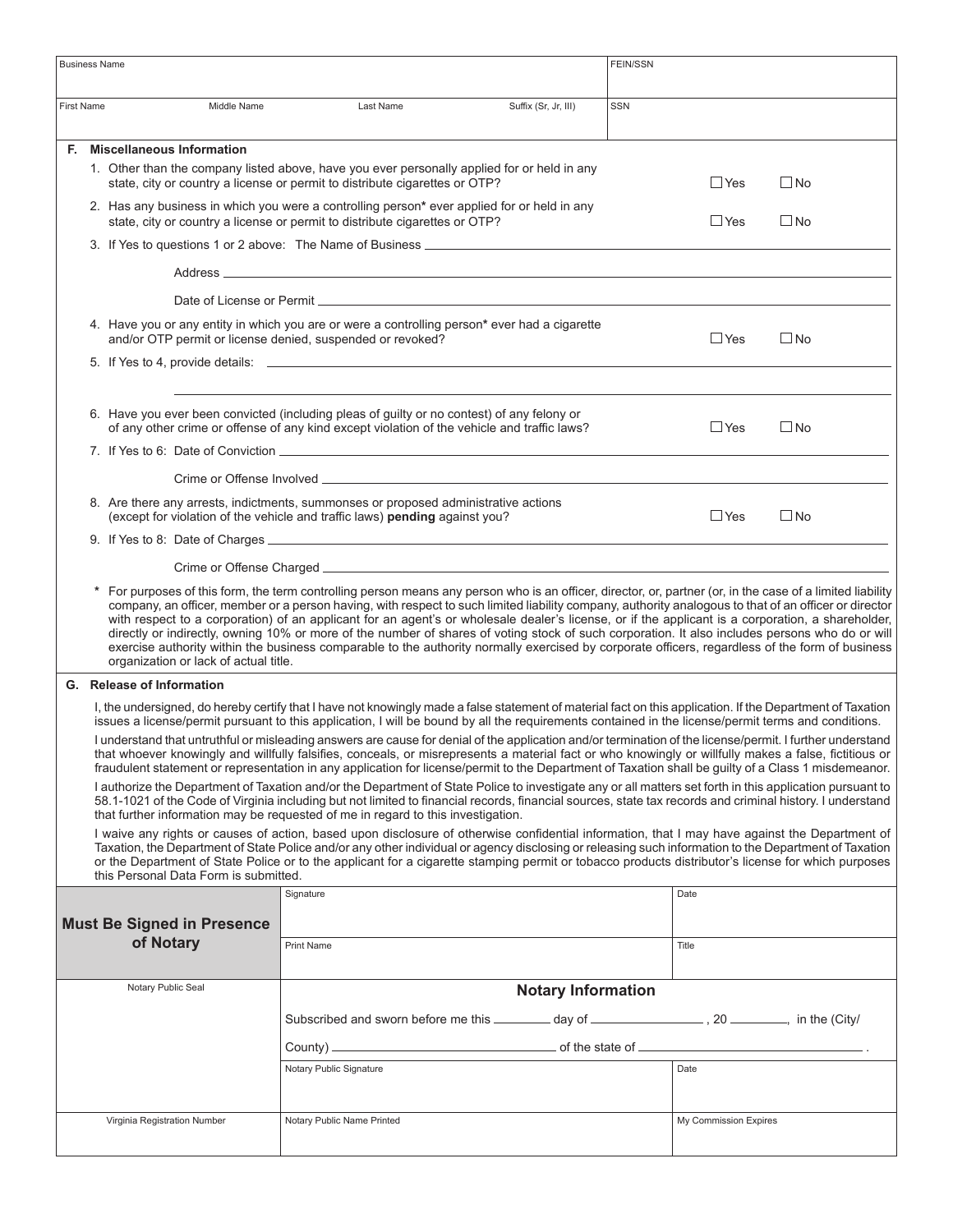| <b>Business Name</b>                                                                                                                                                                                                                                                                                                                                                                                      |                                                                                                                                                                                                                                                                                                                                                                                                                                                                                                                                                                                                                                                                                                                                                                                                                       |                                                            |                                                                                                                                                                                                                                |                                                                                                                                                                                                                                                                                                                                                                                                                                                                            | <b>FEIN/SSN</b> |                       |              |  |  |
|-----------------------------------------------------------------------------------------------------------------------------------------------------------------------------------------------------------------------------------------------------------------------------------------------------------------------------------------------------------------------------------------------------------|-----------------------------------------------------------------------------------------------------------------------------------------------------------------------------------------------------------------------------------------------------------------------------------------------------------------------------------------------------------------------------------------------------------------------------------------------------------------------------------------------------------------------------------------------------------------------------------------------------------------------------------------------------------------------------------------------------------------------------------------------------------------------------------------------------------------------|------------------------------------------------------------|--------------------------------------------------------------------------------------------------------------------------------------------------------------------------------------------------------------------------------|----------------------------------------------------------------------------------------------------------------------------------------------------------------------------------------------------------------------------------------------------------------------------------------------------------------------------------------------------------------------------------------------------------------------------------------------------------------------------|-----------------|-----------------------|--------------|--|--|
| <b>First Name</b>                                                                                                                                                                                                                                                                                                                                                                                         |                                                                                                                                                                                                                                                                                                                                                                                                                                                                                                                                                                                                                                                                                                                                                                                                                       | Middle Name                                                | Last Name                                                                                                                                                                                                                      | Suffix (Sr, Jr, III)                                                                                                                                                                                                                                                                                                                                                                                                                                                       | <b>SSN</b>      |                       |              |  |  |
|                                                                                                                                                                                                                                                                                                                                                                                                           |                                                                                                                                                                                                                                                                                                                                                                                                                                                                                                                                                                                                                                                                                                                                                                                                                       | F. Miscellaneous Information                               |                                                                                                                                                                                                                                |                                                                                                                                                                                                                                                                                                                                                                                                                                                                            |                 |                       |              |  |  |
|                                                                                                                                                                                                                                                                                                                                                                                                           |                                                                                                                                                                                                                                                                                                                                                                                                                                                                                                                                                                                                                                                                                                                                                                                                                       |                                                            | 1. Other than the company listed above, have you ever personally applied for or held in any<br>state, city or country a license or permit to distribute cigarettes or OTP?                                                     |                                                                                                                                                                                                                                                                                                                                                                                                                                                                            |                 | $\Box$ Yes            | $\square$ No |  |  |
|                                                                                                                                                                                                                                                                                                                                                                                                           |                                                                                                                                                                                                                                                                                                                                                                                                                                                                                                                                                                                                                                                                                                                                                                                                                       |                                                            | 2. Has any business in which you were a controlling person* ever applied for or held in any<br>state, city or country a license or permit to distribute cigarettes or OTP?                                                     |                                                                                                                                                                                                                                                                                                                                                                                                                                                                            |                 | $\Box$ Yes            | $\Box$ No    |  |  |
|                                                                                                                                                                                                                                                                                                                                                                                                           |                                                                                                                                                                                                                                                                                                                                                                                                                                                                                                                                                                                                                                                                                                                                                                                                                       |                                                            | 3. If Yes to questions 1 or 2 above: The Name of Business _______________________                                                                                                                                              |                                                                                                                                                                                                                                                                                                                                                                                                                                                                            |                 |                       |              |  |  |
|                                                                                                                                                                                                                                                                                                                                                                                                           |                                                                                                                                                                                                                                                                                                                                                                                                                                                                                                                                                                                                                                                                                                                                                                                                                       |                                                            |                                                                                                                                                                                                                                |                                                                                                                                                                                                                                                                                                                                                                                                                                                                            |                 |                       |              |  |  |
|                                                                                                                                                                                                                                                                                                                                                                                                           |                                                                                                                                                                                                                                                                                                                                                                                                                                                                                                                                                                                                                                                                                                                                                                                                                       |                                                            | Date of License or Permit Learner and the contract of the contract of the contract of the contract of the contract of the contract of the contract of the contract of the contract of the contract of the contract of the cont |                                                                                                                                                                                                                                                                                                                                                                                                                                                                            |                 |                       |              |  |  |
|                                                                                                                                                                                                                                                                                                                                                                                                           |                                                                                                                                                                                                                                                                                                                                                                                                                                                                                                                                                                                                                                                                                                                                                                                                                       | and/or OTP permit or license denied, suspended or revoked? | 4. Have you or any entity in which you are or were a controlling person* ever had a cigarette                                                                                                                                  |                                                                                                                                                                                                                                                                                                                                                                                                                                                                            |                 | $\Box$ Yes            | $\square$ No |  |  |
|                                                                                                                                                                                                                                                                                                                                                                                                           |                                                                                                                                                                                                                                                                                                                                                                                                                                                                                                                                                                                                                                                                                                                                                                                                                       |                                                            |                                                                                                                                                                                                                                |                                                                                                                                                                                                                                                                                                                                                                                                                                                                            |                 |                       |              |  |  |
|                                                                                                                                                                                                                                                                                                                                                                                                           |                                                                                                                                                                                                                                                                                                                                                                                                                                                                                                                                                                                                                                                                                                                                                                                                                       |                                                            |                                                                                                                                                                                                                                |                                                                                                                                                                                                                                                                                                                                                                                                                                                                            |                 |                       |              |  |  |
|                                                                                                                                                                                                                                                                                                                                                                                                           |                                                                                                                                                                                                                                                                                                                                                                                                                                                                                                                                                                                                                                                                                                                                                                                                                       |                                                            | 6. Have you ever been convicted (including pleas of guilty or no contest) of any felony or<br>of any other crime or offense of any kind except violation of the vehicle and traffic laws?                                      |                                                                                                                                                                                                                                                                                                                                                                                                                                                                            |                 | $\Box$ Yes            | $\square$ No |  |  |
|                                                                                                                                                                                                                                                                                                                                                                                                           |                                                                                                                                                                                                                                                                                                                                                                                                                                                                                                                                                                                                                                                                                                                                                                                                                       |                                                            | 7. If Yes to 6: Date of Conviction Learner and the control of the control of the control of the control of the control of the control of the control of the control of the control of the control of the control of the contro |                                                                                                                                                                                                                                                                                                                                                                                                                                                                            |                 |                       |              |  |  |
|                                                                                                                                                                                                                                                                                                                                                                                                           |                                                                                                                                                                                                                                                                                                                                                                                                                                                                                                                                                                                                                                                                                                                                                                                                                       |                                                            |                                                                                                                                                                                                                                |                                                                                                                                                                                                                                                                                                                                                                                                                                                                            |                 |                       |              |  |  |
|                                                                                                                                                                                                                                                                                                                                                                                                           |                                                                                                                                                                                                                                                                                                                                                                                                                                                                                                                                                                                                                                                                                                                                                                                                                       |                                                            | 8. Are there any arrests, indictments, summonses or proposed administrative actions<br>(except for violation of the vehicle and traffic laws) pending against you?                                                             |                                                                                                                                                                                                                                                                                                                                                                                                                                                                            |                 | $\square$ Yes         | $\square$ No |  |  |
|                                                                                                                                                                                                                                                                                                                                                                                                           |                                                                                                                                                                                                                                                                                                                                                                                                                                                                                                                                                                                                                                                                                                                                                                                                                       |                                                            |                                                                                                                                                                                                                                |                                                                                                                                                                                                                                                                                                                                                                                                                                                                            |                 |                       |              |  |  |
|                                                                                                                                                                                                                                                                                                                                                                                                           |                                                                                                                                                                                                                                                                                                                                                                                                                                                                                                                                                                                                                                                                                                                                                                                                                       |                                                            |                                                                                                                                                                                                                                |                                                                                                                                                                                                                                                                                                                                                                                                                                                                            |                 |                       |              |  |  |
|                                                                                                                                                                                                                                                                                                                                                                                                           | For purposes of this form, the term controlling person means any person who is an officer, director, or, partner (or, in the case of a limited liability<br>company, an officer, member or a person having, with respect to such limited liability company, authority analogous to that of an officer or director<br>with respect to a corporation) of an applicant for an agent's or wholesale dealer's license, or if the applicant is a corporation, a shareholder,<br>directly or indirectly, owning 10% or more of the number of shares of voting stock of such corporation. It also includes persons who do or will<br>exercise authority within the business comparable to the authority normally exercised by corporate officers, regardless of the form of business<br>organization or lack of actual title. |                                                            |                                                                                                                                                                                                                                |                                                                                                                                                                                                                                                                                                                                                                                                                                                                            |                 |                       |              |  |  |
| G. Release of Information                                                                                                                                                                                                                                                                                                                                                                                 |                                                                                                                                                                                                                                                                                                                                                                                                                                                                                                                                                                                                                                                                                                                                                                                                                       |                                                            |                                                                                                                                                                                                                                |                                                                                                                                                                                                                                                                                                                                                                                                                                                                            |                 |                       |              |  |  |
|                                                                                                                                                                                                                                                                                                                                                                                                           | I, the undersigned, do hereby certify that I have not knowingly made a false statement of material fact on this application. If the Department of Taxation<br>issues a license/permit pursuant to this application, I will be bound by all the requirements contained in the license/permit terms and conditions.                                                                                                                                                                                                                                                                                                                                                                                                                                                                                                     |                                                            |                                                                                                                                                                                                                                |                                                                                                                                                                                                                                                                                                                                                                                                                                                                            |                 |                       |              |  |  |
|                                                                                                                                                                                                                                                                                                                                                                                                           |                                                                                                                                                                                                                                                                                                                                                                                                                                                                                                                                                                                                                                                                                                                                                                                                                       |                                                            |                                                                                                                                                                                                                                | I understand that untruthful or misleading answers are cause for denial of the application and/or termination of the license/permit. I further understand<br>that whoever knowingly and willfully falsifies, conceals, or misrepresents a material fact or who knowingly or willfully makes a false, fictitious or<br>fraudulent statement or representation in any application for license/permit to the Department of Taxation shall be guilty of a Class 1 misdemeanor. |                 |                       |              |  |  |
| I authorize the Department of Taxation and/or the Department of State Police to investigate any or all matters set forth in this application pursuant to<br>58.1-1021 of the Code of Virginia including but not limited to financial records, financial sources, state tax records and criminal history. I understand<br>that further information may be requested of me in regard to this investigation. |                                                                                                                                                                                                                                                                                                                                                                                                                                                                                                                                                                                                                                                                                                                                                                                                                       |                                                            |                                                                                                                                                                                                                                |                                                                                                                                                                                                                                                                                                                                                                                                                                                                            |                 |                       |              |  |  |
|                                                                                                                                                                                                                                                                                                                                                                                                           | I waive any rights or causes of action, based upon disclosure of otherwise confidential information, that I may have against the Department of<br>Taxation, the Department of State Police and/or any other individual or agency disclosing or releasing such information to the Department of Taxation<br>or the Department of State Police or to the applicant for a cigarette stamping permit or tobacco products distributor's license for which purposes<br>this Personal Data Form is submitted.                                                                                                                                                                                                                                                                                                                |                                                            |                                                                                                                                                                                                                                |                                                                                                                                                                                                                                                                                                                                                                                                                                                                            |                 |                       |              |  |  |
|                                                                                                                                                                                                                                                                                                                                                                                                           |                                                                                                                                                                                                                                                                                                                                                                                                                                                                                                                                                                                                                                                                                                                                                                                                                       |                                                            | Signature                                                                                                                                                                                                                      |                                                                                                                                                                                                                                                                                                                                                                                                                                                                            |                 | Date                  |              |  |  |
|                                                                                                                                                                                                                                                                                                                                                                                                           |                                                                                                                                                                                                                                                                                                                                                                                                                                                                                                                                                                                                                                                                                                                                                                                                                       | <b>Must Be Signed in Presence</b>                          |                                                                                                                                                                                                                                |                                                                                                                                                                                                                                                                                                                                                                                                                                                                            |                 |                       |              |  |  |
|                                                                                                                                                                                                                                                                                                                                                                                                           |                                                                                                                                                                                                                                                                                                                                                                                                                                                                                                                                                                                                                                                                                                                                                                                                                       | of Notary                                                  | <b>Print Name</b>                                                                                                                                                                                                              |                                                                                                                                                                                                                                                                                                                                                                                                                                                                            |                 | Title                 |              |  |  |
|                                                                                                                                                                                                                                                                                                                                                                                                           |                                                                                                                                                                                                                                                                                                                                                                                                                                                                                                                                                                                                                                                                                                                                                                                                                       |                                                            |                                                                                                                                                                                                                                |                                                                                                                                                                                                                                                                                                                                                                                                                                                                            |                 |                       |              |  |  |
|                                                                                                                                                                                                                                                                                                                                                                                                           |                                                                                                                                                                                                                                                                                                                                                                                                                                                                                                                                                                                                                                                                                                                                                                                                                       | Notary Public Seal                                         |                                                                                                                                                                                                                                | <b>Notary Information</b>                                                                                                                                                                                                                                                                                                                                                                                                                                                  |                 |                       |              |  |  |
|                                                                                                                                                                                                                                                                                                                                                                                                           |                                                                                                                                                                                                                                                                                                                                                                                                                                                                                                                                                                                                                                                                                                                                                                                                                       |                                                            | Subscribed and sworn before me this _________ day of ____________________________, in the (City/                                                                                                                               |                                                                                                                                                                                                                                                                                                                                                                                                                                                                            |                 |                       |              |  |  |
|                                                                                                                                                                                                                                                                                                                                                                                                           |                                                                                                                                                                                                                                                                                                                                                                                                                                                                                                                                                                                                                                                                                                                                                                                                                       |                                                            | $County)$ $-$                                                                                                                                                                                                                  |                                                                                                                                                                                                                                                                                                                                                                                                                                                                            |                 |                       |              |  |  |
|                                                                                                                                                                                                                                                                                                                                                                                                           |                                                                                                                                                                                                                                                                                                                                                                                                                                                                                                                                                                                                                                                                                                                                                                                                                       |                                                            | Notary Public Signature                                                                                                                                                                                                        |                                                                                                                                                                                                                                                                                                                                                                                                                                                                            |                 | Date                  |              |  |  |
|                                                                                                                                                                                                                                                                                                                                                                                                           |                                                                                                                                                                                                                                                                                                                                                                                                                                                                                                                                                                                                                                                                                                                                                                                                                       |                                                            |                                                                                                                                                                                                                                |                                                                                                                                                                                                                                                                                                                                                                                                                                                                            |                 |                       |              |  |  |
|                                                                                                                                                                                                                                                                                                                                                                                                           |                                                                                                                                                                                                                                                                                                                                                                                                                                                                                                                                                                                                                                                                                                                                                                                                                       | Virginia Registration Number                               | Notary Public Name Printed                                                                                                                                                                                                     |                                                                                                                                                                                                                                                                                                                                                                                                                                                                            |                 | My Commission Expires |              |  |  |